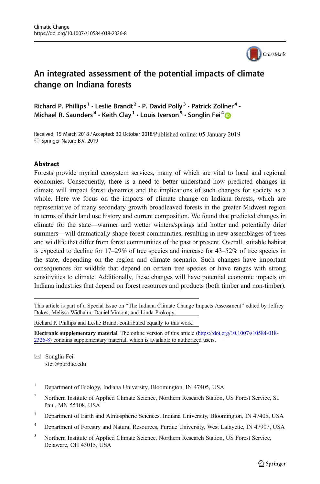

# An integrated assessment of the potential impacts of climate change on Indiana forests

Richard P. Phillips<sup>1</sup> · Leslie Brandt<sup>2</sup> · P. David Polly<sup>3</sup> · Patrick Zollner<sup>4</sup> · Michael R. Saunders<sup>4</sup>  $\cdot$  Keith Clay<sup>1</sup>  $\cdot$  Louis Iverson<sup>5</sup>  $\cdot$  Songlin Fei<sup>4</sup>

Received: 15 March 2018 / Accepted: 30 October 2018/Published online: 05 January 2019  $\circledcirc$  Springer Nature B.V. 2019

#### Abstract

Forests provide myriad ecosystem services, many of which are vital to local and regional economies. Consequently, there is a need to better understand how predicted changes in climate will impact forest dynamics and the implications of such changes for society as a whole. Here we focus on the impacts of climate change on Indiana forests, which are representative of many secondary growth broadleaved forests in the greater Midwest region in terms of their land use history and current composition. We found that predicted changes in climate for the state—warmer and wetter winters/springs and hotter and potentially drier summers—will dramatically shape forest communities, resulting in new assemblages of trees and wildlife that differ from forest communities of the past or present. Overall, suitable habitat is expected to decline for 17–29% of tree species and increase for 43–52% of tree species in the state, depending on the region and climate scenario. Such changes have important consequences for wildlife that depend on certain tree species or have ranges with strong sensitivities to climate. Additionally, these changes will have potential economic impacts on Indiana industries that depend on forest resources and products (both timber and non-timber).

This article is part of a Special Issue on "The Indiana Climate Change Impacts Assessment" edited by Jeffrey Dukes, Melissa Widhalm, Daniel Vimont, and Linda Prokopy.

Richard P. Phillips and Leslie Brandt contributed equally to this work.

Electronic supplementary material The online version of this article ([https://doi.org/10.1007/s10584-018-](https://doi.org/10.1007/s10584-018-2326-8) [2326-8\)](https://doi.org/10.1007/s10584-018-2326-8) contains supplementary material, which is available to authorized users.

 $\boxtimes$  Songlin Fei [sfei@purdue.edu](mailto:sfei@purdue.edu)

<sup>1</sup> Department of Biology, Indiana University, Bloomington, IN 47405, USA

- <sup>2</sup> Northern Institute of Applied Climate Science, Northern Research Station, US Forest Service, St. Paul, MN 55108, USA
- <sup>3</sup> Department of Earth and Atmospheric Sciences, Indiana University, Bloomington, IN 47405, USA
- <sup>4</sup> Department of Forestry and Natural Resources, Purdue University, West Lafayette, IN 47907, USA
- <sup>5</sup> Northern Institute of Applied Climate Science, Northern Research Station, US Forest Service, Delaware, OH 43015, USA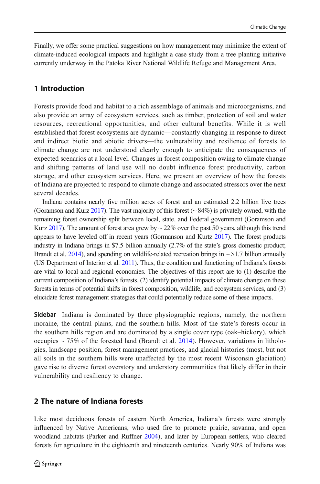Finally, we offer some practical suggestions on how management may minimize the extent of climate-induced ecological impacts and highlight a case study from a tree planting initiative currently underway in the Patoka River National Wildlife Refuge and Management Area.

### 1 Introduction

Forests provide food and habitat to a rich assemblage of animals and microorganisms, and also provide an array of ecosystem services, such as timber, protection of soil and water resources, recreational opportunities, and other cultural benefits. While it is well established that forest ecosystems are dynamic—constantly changing in response to direct and indirect biotic and abiotic drivers—the vulnerability and resilience of forests to climate change are not understood clearly enough to anticipate the consequences of expected scenarios at a local level. Changes in forest composition owing to climate change and shifting patterns of land use will no doubt influence forest productivity, carbon storage, and other ecosystem services. Here, we present an overview of how the forests of Indiana are projected to respond to climate change and associated stressors over the next several decades.

Indiana contains nearly five million acres of forest and an estimated 2.2 billion live trees (Goramson and Kurz [2017\)](#page-12-0). The vast majority of this forest  $($   $\sim$  84% $)$  is privately owned, with the remaining forest ownership split between local, state, and Federal government (Goramson and Kurz [2017](#page-12-0)). The amount of forest area grew by  $\sim$  22% over the past 50 years, although this trend appears to have leveled off in recent years (Gormanson and Kurtz [2017\)](#page-12-0). The forest products industry in Indiana brings in \$7.5 billion annually (2.7% of the state's gross domestic product; Brandt et al. [2014\)](#page-11-0), and spending on wildlife-related recreation brings in  $\sim$  \$1.7 billion annually (US Department of Interior et al. [2011\)](#page-14-0). Thus, the condition and functioning of Indiana's forests are vital to local and regional economies. The objectives of this report are to (1) describe the current composition of Indiana's forests, (2) identify potential impacts of climate change on these forests in terms of potential shifts in forest composition, wildlife, and ecosystem services, and (3) elucidate forest management strategies that could potentially reduce some of these impacts.

**Sidebar** Indiana is dominated by three physiographic regions, namely, the northern moraine, the central plains, and the southern hills. Most of the state's forests occur in the southern hills region and are dominated by a single cover type (oak–hickory), which occupies  $\sim$  75% of the forested land (Brandt et al. [2014](#page-11-0)). However, variations in lithologies, landscape position, forest management practices, and glacial histories (most, but not all soils in the southern hills were unaffected by the most recent Wisconsin glaciation) gave rise to diverse forest overstory and understory communities that likely differ in their vulnerability and resiliency to change.

### 2 The nature of Indiana forests

Like most deciduous forests of eastern North America, Indiana's forests were strongly influenced by Native Americans, who used fire to promote prairie, savanna, and open woodland habitats (Parker and Ruffner [2004](#page-13-0)), and later by European settlers, who cleared forests for agriculture in the eighteenth and nineteenth centuries. Nearly 90% of Indiana was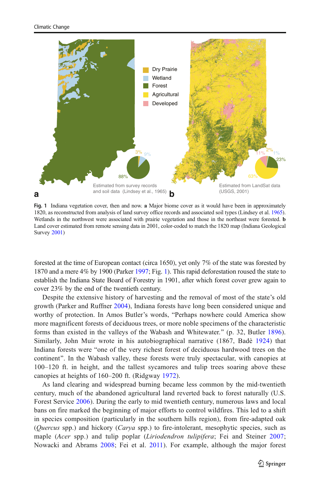

Fig. 1 Indiana vegetation cover, then and now. a Major biome cover as it would have been in approximately 1820, as reconstructed from analysis of land survey office records and associated soil types (Lindsey et al. [1965](#page-13-0)). Wetlands in the northwest were associated with prairie vegetation and those in the northeast were forested. **b** Land cover estimated from remote sensing data in 2001, color-coded to match the 1820 map (Indiana Geological Survey [2001](#page-12-0))

forested at the time of European contact (circa 1650), yet only 7% of the state was forested by 1870 and a mere 4% by 1900 (Parker [1997;](#page-13-0) Fig. 1). This rapid deforestation roused the state to establish the Indiana State Board of Forestry in 1901, after which forest cover grew again to cover 23% by the end of the twentieth century.

Despite the extensive history of harvesting and the removal of most of the state's old growth (Parker and Ruffner [2004\)](#page-13-0), Indiana forests have long been considered unique and worthy of protection. In Amos Butler's words, "Perhaps nowhere could America show more magnificent forests of deciduous trees, or more noble specimens of the characteristic forms than existed in the valleys of the Wabash and Whitewater.^ (p. 32, Butler [1896](#page-12-0)). Similarly, John Muir wrote in his autobiographical narrative (1867, Badè [1924\)](#page-11-0) that Indiana forests were "one of the very richest forest of deciduous hardwood trees on the continent". In the Wabash valley, these forests were truly spectacular, with canopies at 100–120 ft. in height, and the tallest sycamores and tulip trees soaring above these canopies at heights of 160–200 ft. (Ridgway [1972](#page-13-0)).

As land clearing and widespread burning became less common by the mid-twentieth century, much of the abandoned agricultural land reverted back to forest naturally (U.S. Forest Service [2006\)](#page-14-0). During the early to mid twentieth century, numerous laws and local bans on fire marked the beginning of major efforts to control wildfires. This led to a shift in species composition (particularly in the southern hills region), from fire-adapted oak (Quercus spp.) and hickory (Carya spp.) to fire-intolerant, mesophytic species, such as maple (Acer spp.) and tulip poplar (Liriodendron tulipifera; Fei and Steiner [2007](#page-12-0); Nowacki and Abrams [2008](#page-13-0); Fei et al. [2011](#page-12-0)). For example, although the major forest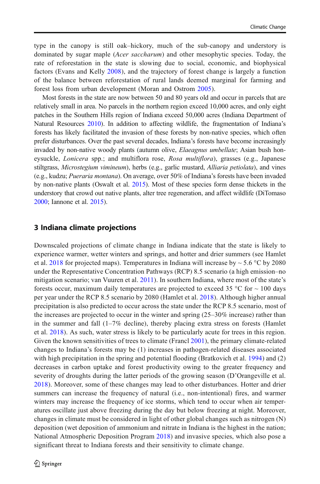type in the canopy is still oak–hickory, much of the sub-canopy and understory is dominated by sugar maple (Acer saccharum) and other mesophytic species. Today, the rate of reforestation in the state is slowing due to social, economic, and biophysical factors (Evans and Kelly [2008\)](#page-12-0), and the trajectory of forest change is largely a function of the balance between reforestation of rural lands deemed marginal for farming and forest loss from urban development (Moran and Ostrom [2005\)](#page-13-0).

Most forests in the state are now between 50 and 80 years old and occur in parcels that are relatively small in area. No parcels in the northern region exceed 10,000 acres, and only eight patches in the Southern Hills region of Indiana exceed 50,000 acres (Indiana Department of Natural Resources [2010\)](#page-13-0). In addition to affecting wildlife, the fragmentation of Indiana's forests has likely facilitated the invasion of these forests by non-native species, which often prefer disturbances. Over the past several decades, Indiana's forests have become increasingly invaded by non-native woody plants (autumn olive, *Elaeagnus umbellate*; Asian bush honeysuckle, *Lonicera* spp.; and multiflora rose, *Rosa multiflora*), grasses (e.g., Japanese stiltgrass, *Microstegium vimineum*), herbs (e.g., garlic mustard, *Alliaria petiolata*), and vines (e.g., kudzu; Pueraria montana). On average, over 50% of Indiana's forests have been invaded by non-native plants (Oswalt et al. [2015\)](#page-13-0). Most of these species form dense thickets in the understory that crowd out native plants, alter tree regeneration, and affect wildlife (DiTomaso [2000](#page-12-0); Iannone et al. [2015](#page-12-0)).

#### 3 Indiana climate projections

Downscaled projections of climate change in Indiana indicate that the state is likely to experience warmer, wetter winters and springs, and hotter and drier summers (see Hamlet et al. [2018](#page-12-0) for projected maps). Temperatures in Indiana will increase by  $\sim$  5.6 °C by 2080 under the Representative Concentration Pathways (RCP) 8.5 scenario (a high emission–no mitigation scenario; van Vuuren et al. [2011](#page-14-0)). In southern Indiana, where most of the state's forests occur, maximum daily temperatures are projected to exceed 35 °C for  $\sim$  100 days per year under the RCP 8.5 scenario by 2080 (Hamlet et al. [2018\)](#page-12-0). Although higher annual precipitation is also predicted to occur across the state under the RCP 8.5 scenario, most of the increases are projected to occur in the winter and spring (25–30% increase) rather than in the summer and fall (1–7% decline), thereby placing extra stress on forests (Hamlet et al. [2018\)](#page-12-0). As such, water stress is likely to be particularly acute for trees in this region. Given the known sensitivities of trees to climate (Francl [2001](#page-12-0)), the primary climate-related changes to Indiana's forests may be (1) increases in pathogen-related diseases associated with high precipitation in the spring and potential flooding (Bratkovich et al. [1994](#page-11-0)) and (2) decreases in carbon uptake and forest productivity owing to the greater frequency and severity of droughts during the latter periods of the growing season (D'Orangeville et al. [2018](#page-12-0)). Moreover, some of these changes may lead to other disturbances. Hotter and drier summers can increase the frequency of natural (i.e., non-intentional) fires, and warmer winters may increase the frequency of ice storms, which tend to occur when air temperatures oscillate just above freezing during the day but below freezing at night. Moreover, changes in climate must be considered in light of other global changes such as nitrogen (N) deposition (wet deposition of ammonium and nitrate in Indiana is the highest in the nation; National Atmospheric Deposition Program [2018](#page-13-0)) and invasive species, which also pose a significant threat to Indiana forests and their sensitivity to climate change.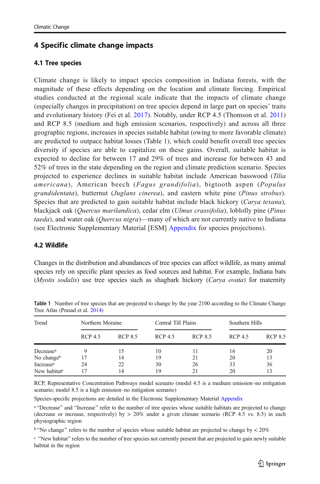## 4 Specific climate change impacts

### 4.1 Tree species

Climate change is likely to impact species composition in Indiana forests, with the magnitude of these effects depending on the location and climate forcing. Empirical studies conducted at the regional scale indicate that the impacts of climate change (especially changes in precipitation) on tree species depend in large part on species' traits and evolutionary history (Fei et al. [2017\)](#page-12-0). Notably, under RCP 4.5 (Thomson et al. [2011\)](#page-13-0) and RCP 8.5 (medium and high emission scenarios, respectively) and across all three geographic regions, increases in species suitable habitat (owing to more favorable climate) are predicted to outpace habitat losses (Table 1), which could benefit overall tree species diversity if species are able to capitalize on these gains. Overall, suitable habitat is expected to decline for between 17 and 29% of trees and increase for between 43 and 52% of trees in the state depending on the region and climate prediction scenario. Species projected to experience declines in suitable habitat include American basswood (Tilia americana), American beech (Fagus grandifolia), bigtooth aspen (Populus grandidentata), butternut (Juglans cinerea), and eastern white pine (Pinus strobus). Species that are predicted to gain suitable habitat include black hickory (Carya texana), blackjack oak (Quercus marilandica), cedar elm (Ulmus crassifolia), loblolly pine (Pinus taeda), and water oak (*Quercus nigra*)—many of which are not currently native to Indiana (see Electronic Supplementary Material [ESM] Appendix for species projections).

### 4.2 Wildlife

Changes in the distribution and abundances of tree species can affect wildlife, as many animal species rely on specific plant species as food sources and habitat. For example, Indiana bats (*Myotis sodalis*) use tree species such as shagbark hickory (*Carya ovata*) for maternity

| Trend                    | Northern Moraine |                | Central Till Plains |                | Southern Hills |                |
|--------------------------|------------------|----------------|---------------------|----------------|----------------|----------------|
|                          | <b>RCP 4.5</b>   | <b>RCP 8.5</b> | RCP 4.5             | <b>RCP 8.5</b> | <b>RCP 4.5</b> | <b>RCP 8.5</b> |
| Decrease <sup>a</sup>    |                  | 15             | 10                  |                | 16             | 20             |
| No changeb               |                  | 14             | 19                  |                | 20             | 13             |
| Increase <sup>a</sup>    | 24               | 22             | 30                  | 26             | 33             | 36             |
| New habitat <sup>c</sup> |                  | 14             | 19                  |                | 20             | 13             |

Table 1 Number of tree species that are projected to change by the year 2100 according to the Climate Change Tree Atlas (Prasad et al. [2014\)](#page-13-0)

RCP, Representative Concentration Pathways model scenario (model 4.5 is a medium emission–no mitigation scenario; model 8.5 is a high emission–no mitigation scenario)

Species-specific projections are detailed in the Electronic Supplementary Material Appendix

a "Decrease" and "Increase" refer to the number of tree species whose suitable habitats are projected to change (decrease or increase, respectively) by  $> 20\%$  under a given climate scenario (RCP 4.5 vs. 8.5) in each physiographic region

 $b$  "No change" refers to the number of species whose suitable habitat are projected to change by  $< 20\%$ 

<sup>c</sup> "New habitat" refers to the number of tree species not currently present that are projected to gain newly suitable habitat in the region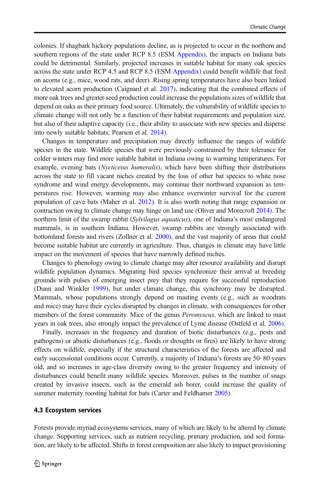colonies. If shagbark hickory populations decline, as is projected to occur in the northern and southern regions of the state under RCP 8.5 (ESM Appendix), the impacts on Indiana bats could be detrimental. Similarly, projected increases in suitable habitat for many oak species across the state under RCP 4.5 and RCP 8.5 (ESM Appendix) could benefit wildlife that feed on acorns (e.g., mice, wood rats, and deer). Rising spring temperatures have also been linked to elevated acorn production (Caignard et al. [2017](#page-12-0)), indicating that the combined effects of more oak trees and greater seed production could increase the populations sizes of wildlife that depend on oaks as their primary food source. Ultimately, the vulnerability of wildlife species to climate change will not only be a function of their habitat requirements and population size, but also of their adaptive capacity (i.e., their ability to associate with new species and disperse into newly suitable habitats; Pearson et al. [2014](#page-13-0)).

Changes in temperature and precipitation may directly influence the ranges of wildlife species in the state. Wildlife species that were previously constrained by their tolerance for colder winters may find more suitable habitat in Indiana owing to warming temperatures. For example, evening bats (*Nycticeius humeralis*), which have been shifting their distributions across the state to fill vacant niches created by the loss of other bat species to white nose syndrome and wind energy developments, may continue their northward expansion as temperatures rise. However, warming may also enhance overwinter survival for the current population of cave bats (Maher et al. [2012](#page-13-0)). It is also worth noting that range expansion or contraction owing to climate change may hinge on land use (Oliver and Morecroft [2014\)](#page-13-0). The northern limit of the swamp rabbit (Sylvilagus aquaticus), one of Indiana's most endangered mammals, is in southern Indiana. However, swamp rabbits are strongly associated with bottomland forests and rivers (Zollner et al. [2000](#page-14-0)), and the vast majority of areas that could become suitable habitat are currently in agriculture. Thus, changes in climate may have little impact on the movement of species that have narrowly defined niches.

Changes to phenology owing to climate change may alter resource availability and disrupt wildlife population dynamics. Migrating bird species synchronize their arrival at breeding grounds with pulses of emerging insect prey that they require for successful reproduction (Dunn and Winkler [1999\)](#page-12-0), but under climate change, this synchrony may be disrupted. Mammals, whose populations strongly depend on masting events (e.g., such as woodrats and mice) may have their cycles disrupted by changes in climate, with consequences for other members of the forest community. Mice of the genus *Peromyscus*, which are linked to mast years in oak trees, also strongly impact the prevalence of Lyme disease (Ostfeld et al. [2006\)](#page-13-0).

Finally, increases in the frequency and duration of biotic disturbances (e.g., pests and pathogens) or abiotic disturbances (e.g., floods or droughts or fires) are likely to have strong effects on wildlife, especially if the structural characteristics of the forests are affected and early successional conditions occur. Currently, a majority of Indiana's forests are 50–80 years old, and so increases in age-class diversity owing to the greater frequency and intensity of disturbances could benefit many wildlife species. Moreover, pulses in the number of snags created by invasive insects, such as the emerald ash borer, could increase the quality of summer maternity roosting habitat for bats (Carter and Feldhamer [2005](#page-12-0)).

#### 4.3 Ecosystem services

Forests provide myriad ecosystems services, many of which are likely to be altered by climate change. Supporting services, such as nutrient recycling, primary production, and soil formation, are likely to be affected. Shifts in forest composition are also likely to impact provisioning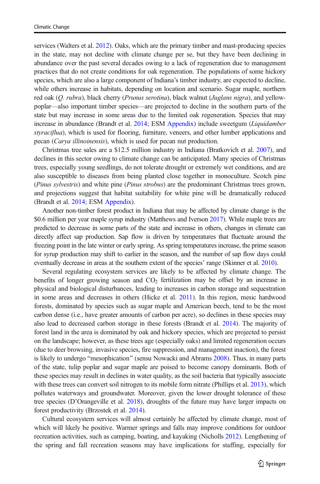services (Walters et al. [2012](#page-14-0)). Oaks, which are the primary timber and mast-producing species in the state, may not decline with climate change per se, but they have been declining in abundance over the past several decades owing to a lack of regeneration due to management practices that do not create conditions for oak regeneration. The populations of some hickory species, which are also a large component of Indiana's timber industry, are expected to decline, while others increase in habitats, depending on location and scenario. Sugar maple, northern red oak (O. rubra), black cherry (Prunus serotina), black walnut (Juglans nigra), and yellowpoplar—also important timber species—are projected to decline in the southern parts of the state but may increase in some areas due to the limited oak regeneration. Species that may increase in abundance (Brandt et al. [2014](#page-11-0); ESM Appendix) include sweetgum (Liquidamber styraciflua), which is used for flooring, furniture, veneers, and other lumber applications and pecan (Carya illinoinensis), which is used for pecan nut production.

Christmas tree sales are a \$12.5 million industry in Indiana (Bratkovich et al. [2007\)](#page-11-0), and declines in this sector owing to climate change can be anticipated. Many species of Christmas trees, especially young seedlings, do not tolerate drought or extremely wet conditions, and are also susceptible to diseases from being planted close together in monoculture. Scotch pine (Pinus sylvestris) and white pine (Pinus strobus) are the predominant Christmas trees grown, and projections suggest that habitat suitability for white pine will be dramatically reduced (Brandt et al. [2014;](#page-11-0) ESM Appendix).

Another non-timber forest product in Indiana that may be affected by climate change is the \$0.6 million per year maple syrup industry (Matthews and Iverson [2017](#page-13-0)). While maple trees are predicted to decrease in some parts of the state and increase in others, changes in climate can directly affect sap production. Sap flow is driven by temperatures that fluctuate around the freezing point in the late winter or early spring. As spring temperatures increase, the prime season for syrup production may shift to earlier in the season, and the number of sap flow days could eventually decrease in areas at the southern extent of the species' range (Skinner et al. [2010](#page-13-0)).

Several regulating ecosystem services are likely to be affected by climate change. The benefits of longer growing season and  $CO<sub>2</sub>$  fertilization may be offset by an increase in physical and biological disturbances, leading to increases in carbon storage and sequestration in some areas and decreases in others (Hicke et al. [2011](#page-12-0)). In this region, mesic hardwood forests, dominated by species such as sugar maple and American beech, tend to be the most carbon dense (i.e., have greater amounts of carbon per acre), so declines in these species may also lead to decreased carbon storage in these forests (Brandt et al. [2014](#page-11-0)). The majority of forest land in the area is dominated by oak and hickory species, which are projected to persist on the landscape; however, as these trees age (especially oaks) and limited regeneration occurs (due to deer browsing, invasive species, fire suppression, and management inaction), the forest is likely to undergo "mesophication" (sensu Nowacki and Abrams  $2008$ ). Thus, in many parts of the state, tulip poplar and sugar maple are poised to become canopy dominants. Both of these species may result in declines in water quality, as the soil bacteria that typically associate with these trees can convert soil nitrogen to its mobile form nitrate (Phillips et al. [2013\)](#page-13-0), which pollutes waterways and groundwater. Moreover, given the lower drought tolerance of these tree species (D'Orangeville et al. [2018\)](#page-12-0), droughts of the future may have larger impacts on forest productivity (Brzostek et al. [2014](#page-12-0)).

Cultural ecosystem services will almost certainly be affected by climate change, most of which will likely be positive. Warmer springs and falls may improve conditions for outdoor recreation activities, such as camping, boating, and kayaking (Nicholls [2012](#page-13-0)). Lengthening of the spring and fall recreation seasons may have implications for staffing, especially for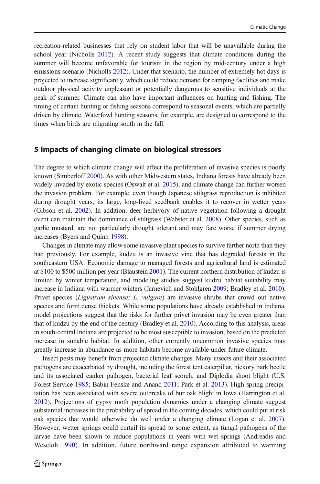recreation-related businesses that rely on student labor that will be unavailable during the school year (Nicholls [2012\)](#page-13-0). A recent study suggests that climate conditions during the summer will become unfavorable for tourism in the region by mid-century under a high emissions scenario (Nicholls [2012\)](#page-13-0). Under that scenario, the number of extremely hot days is projected to increase significantly, which could reduce demand for camping facilities and make outdoor physical activity unpleasant or potentially dangerous to sensitive individuals at the peak of summer. Climate can also have important influences on hunting and fishing. The timing of certain hunting or fishing seasons correspond to seasonal events, which are partially driven by climate. Waterfowl hunting seasons, for example, are designed to correspond to the times when birds are migrating south in the fall.

#### 5 Impacts of changing climate on biological stressors

The degree to which climate change will affect the proliferation of invasive species is poorly known (Simberloff [2000\)](#page-13-0). As with other Midwestern states, Indiana forests have already been widely invaded by exotic species (Oswalt et al. [2015\)](#page-13-0), and climate change can further worsen the invasion problem. For example, even though Japanese stiltgrass reproduction is inhibited during drought years, its large, long-lived seedbank enables it to recover in wetter years (Gibson et al. [2002\)](#page-12-0). In addition, deer herbivory of native vegetation following a drought event can maintain the dominance of stiltgrass (Webster et al. [2008\)](#page-14-0). Other species, such as garlic mustard, are not particularly drought tolerant and may fare worse if summer drying increases (Byers and Quinn [1998\)](#page-12-0).

Changes in climate may allow some invasive plant species to survive farther north than they had previously. For example, kudzu is an invasive vine that has degraded forests in the southeastern USA. Economic damage to managed forests and agricultural land is estimated at \$100 to \$500 million per year (Blaustein [2001\)](#page-11-0). The current northern distribution of kudzu is limited by winter temperature, and modeling studies suggest kudzu habitat suitability may increase in Indiana with warmer winters (Jarnevich and Stohlgren [2009](#page-12-0); Bradley et al. [2010](#page-11-0)). Privet species (Ligustrum sinense; L. vulgare) are invasive shrubs that crowd out native species and form dense thickets. While some populations have already established in Indiana, model projections suggest that the risks for further privet invasion may be even greater than that of kudzu by the end of the century (Bradley et al. [2010\)](#page-11-0). According to this analysis, areas in south-central Indiana are projected to be most susceptible to invasion, based on the predicted increase in suitable habitat. In addition, other currently uncommon invasive species may greatly increase in abundance as more habitats become available under future climate.

Insect pests may benefit from projected climate changes. Many insects and their associated pathogens are exacerbated by drought, including the forest tent caterpillar, hickory bark beetle and its associated canker pathogen, bacterial leaf scorch, and Diplodia shoot blight (U.S. Forest Service [1985](#page-14-0); Babin-Fenske and Anand [2011](#page-11-0); Park et al. [2013\)](#page-13-0). High spring precipitation has been associated with severe outbreaks of bur oak blight in Iowa (Harrington et al. [2012](#page-12-0)). Projections of gypsy moth population dynamics under a changing climate suggest substantial increases in the probability of spread in the coming decades, which could put at risk oak species that would otherwise do well under a changing climate (Logan et al. [2007](#page-13-0)). However, wetter springs could curtail its spread to some extent, as fungal pathogens of the larvae have been shown to reduce populations in years with wet springs (Andreadis and Weseloh [1990](#page-11-0)). In addition, future northward range expansion attributed to warming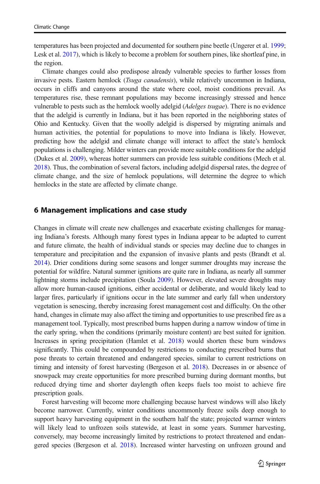temperatures has been projected and documented for southern pine beetle (Ungerer et al. [1999](#page-13-0); Lesk et al. [2017\)](#page-13-0), which is likely to become a problem for southern pines, like shortleaf pine, in the region.

Climate changes could also predispose already vulnerable species to further losses from invasive pests. Eastern hemlock (Tsuga canadensis), while relatively uncommon in Indiana, occurs in cliffs and canyons around the state where cool, moist conditions prevail. As temperatures rise, these remnant populations may become increasingly stressed and hence vulnerable to pests such as the hemlock woolly adelgid (Adelges tsugae). There is no evidence that the adelgid is currently in Indiana, but it has been reported in the neighboring states of Ohio and Kentucky. Given that the woolly adelgid is dispersed by migrating animals and human activities, the potential for populations to move into Indiana is likely. However, predicting how the adelgid and climate change will interact to affect the state's hemlock populations is challenging. Milder winters can provide more suitable conditions for the adelgid (Dukes et al. [2009\)](#page-12-0), whereas hotter summers can provide less suitable conditions (Mech et al. [2018](#page-13-0)). Thus, the combination of several factors, including adelgid dispersal rates, the degree of climate change, and the size of hemlock populations, will determine the degree to which hemlocks in the state are affected by climate change.

#### 6 Management implications and case study

Changes in climate will create new challenges and exacerbate existing challenges for managing Indiana's forests. Although many forest types in Indiana appear to be adapted to current and future climate, the health of individual stands or species may decline due to changes in temperature and precipitation and the expansion of invasive plants and pests (Brandt et al. [2014](#page-11-0)). Drier conditions during some seasons and longer summer droughts may increase the potential for wildfire. Natural summer ignitions are quite rare in Indiana, as nearly all summer lightning storms include precipitation (Soula [2009\)](#page-13-0). However, elevated severe droughts may allow more human-caused ignitions, either accidental or deliberate, and would likely lead to larger fires, particularly if ignitions occur in the late summer and early fall when understory vegetation is senescing, thereby increasing forest management cost and difficulty. On the other hand, changes in climate may also affect the timing and opportunities to use prescribed fire as a management tool. Typically, most prescribed burns happen during a narrow window of time in the early spring, when the conditions (primarily moisture content) are best suited for ignition. Increases in spring precipitation (Hamlet et al. [2018\)](#page-12-0) would shorten these burn windows significantly. This could be compounded by restrictions to conducting prescribed burns that pose threats to certain threatened and endangered species, similar to current restrictions on timing and intensity of forest harvesting (Bergeson et al. [2018\)](#page-11-0). Decreases in or absence of snowpack may create opportunities for more prescribed burning during dormant months, but reduced drying time and shorter daylength often keeps fuels too moist to achieve fire prescription goals.

Forest harvesting will become more challenging because harvest windows will also likely become narrower. Currently, winter conditions uncommonly freeze soils deep enough to support heavy harvesting equipment in the southern half the state; projected warmer winters will likely lead to unfrozen soils statewide, at least in some years. Summer harvesting, conversely, may become increasingly limited by restrictions to protect threatened and endangered species (Bergeson et al. [2018\)](#page-11-0). Increased winter harvesting on unfrozen ground and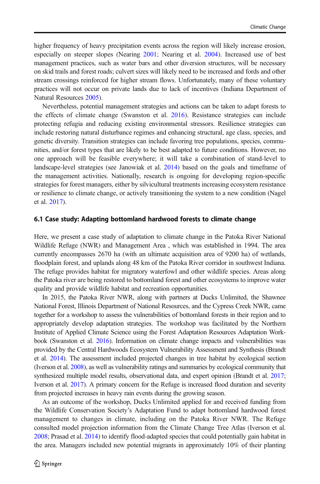higher frequency of heavy precipitation events across the region will likely increase erosion, especially on steeper slopes (Nearing [2001;](#page-13-0) Nearing et al. [2004\)](#page-13-0). Increased use of best management practices, such as water bars and other diversion structures, will be necessary on skid trails and forest roads; culvert sizes will likely need to be increased and fords and other stream crossings reinforced for higher stream flows. Unfortunately, many of these voluntary practices will not occur on private lands due to lack of incentives (Indiana Department of Natural Resources [2005\)](#page-12-0).

Nevertheless, potential management strategies and actions can be taken to adapt forests to the effects of climate change (Swanston et al. [2016\)](#page-13-0). Resistance strategies can include protecting refugia and reducing existing environmental stressors. Resilience strategies can include restoring natural disturbance regimes and enhancing structural, age class, species, and genetic diversity. Transition strategies can include favoring tree populations, species, communities, and/or forest types that are likely to be best adapted to future conditions. However, no one approach will be feasible everywhere; it will take a combination of stand-level to landscape-level strategies (see Janowiak et al. [2014\)](#page-12-0) based on the goals and timeframe of the management activities. Nationally, research is ongoing for developing region-specific strategies for forest managers, either by silvicultural treatments increasing ecosystem resistance or resilience to climate change, or actively transitioning the system to a new condition (Nagel et al. [2017](#page-13-0)).

#### 6.1 Case study: Adapting bottomland hardwood forests to climate change

Here, we present a case study of adaptation to climate change in the Patoka River National Wildlife Refuge (NWR) and Management Area , which was established in 1994. The area currently encompasses 2670 ha (with an ultimate acquisition area of 9200 ha) of wetlands, floodplain forest, and uplands along 48 km of the Patoka River corridor in southwest Indiana. The refuge provides habitat for migratory waterfowl and other wildlife species. Areas along the Patoka river are being restored to bottomland forest and other ecosystems to improve water quality and provide wildlife habitat and recreation opportunities.

In 2015, the Patoka River NWR, along with partners at Ducks Unlimited, the Shawnee National Forest, Illinois Department of National Resources, and the Cypress Creek NWR, came together for a workshop to assess the vulnerabilities of bottomland forests in their region and to appropriately develop adaptation strategies. The workshop was facilitated by the Northern Institute of Applied Climate Science using the Forest Adaptation Resources Adaptation Workbook (Swanston et al. [2016](#page-13-0)). Information on climate change impacts and vulnerabilities was provided by the Central Hardwoods Ecosystem Vulnerability Assessment and Synthesis (Brandt et al. [2014\)](#page-11-0). The assessment included projected changes in tree habitat by ecological section (Iverson et al. [2008](#page-12-0)), as well as vulnerability ratings and summaries by ecological community that synthesized multiple model results, observational data, and expert opinion (Brandt et al. [2017](#page-11-0); Iverson et al. [2017\)](#page-12-0). A primary concern for the Refuge is increased flood duration and severity from projected increases in heavy rain events during the growing season.

As an outcome of the workshop, Ducks Unlimited applied for and received funding from the Wildlife Conservation Society's Adaptation Fund to adapt bottomland hardwood forest management to changes in climate, including on the Patoka River NWR. The Refuge consulted model projection information from the Climate Change Tree Atlas (Iverson et al. [2008](#page-12-0); Prasad et al. [2014\)](#page-13-0) to identify flood-adapted species that could potentially gain habitat in the area. Managers included new potential migrants in approximately 10% of their planting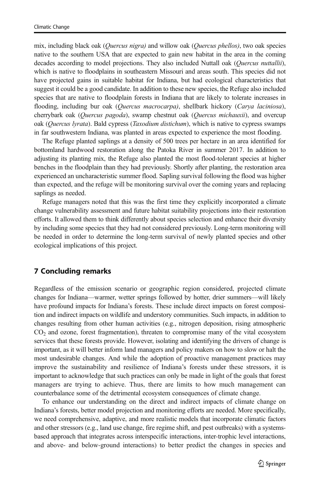mix, including black oak (*Quercus nigra*) and willow oak (*Quercus phellos*), two oak species native to the southern USA that are expected to gain new habitat in the area in the coming decades according to model projections. They also included Nuttall oak (Quercus nuttallii), which is native to floodplains in southeastern Missouri and areas south. This species did not have projected gains in suitable habitat for Indiana, but had ecological characteristics that suggest it could be a good candidate. In addition to these new species, the Refuge also included species that are native to floodplain forests in Indiana that are likely to tolerate increases in flooding, including bur oak (*Quercus macrocarpa*), shellbark hickory (*Carya laciniosa*), cherrybark oak (Quercus pagoda), swamp chestnut oak (Quercus michauxii), and overcup oak (Quercus lyrata). Bald cypress (Taxodium distichum), which is native to cypress swamps in far southwestern Indiana, was planted in areas expected to experience the most flooding.

The Refuge planted saplings at a density of 500 trees per hectare in an area identified for bottomland hardwood restoration along the Patoka River in summer 2017. In addition to adjusting its planting mix, the Refuge also planted the most flood-tolerant species at higher benches in the floodplain than they had previously. Shortly after planting, the restoration area experienced an uncharacteristic summer flood. Sapling survival following the flood was higher than expected, and the refuge will be monitoring survival over the coming years and replacing saplings as needed.

Refuge managers noted that this was the first time they explicitly incorporated a climate change vulnerability assessment and future habitat suitability projections into their restoration efforts. It allowed them to think differently about species selection and enhance their diversity by including some species that they had not considered previously. Long-term monitoring will be needed in order to determine the long-term survival of newly planted species and other ecological implications of this project.

### 7 Concluding remarks

Regardless of the emission scenario or geographic region considered, projected climate changes for Indiana—warmer, wetter springs followed by hotter, drier summers—will likely have profound impacts for Indiana's forests. These include direct impacts on forest composition and indirect impacts on wildlife and understory communities. Such impacts, in addition to changes resulting from other human activities (e.g., nitrogen deposition, rising atmospheric  $CO<sub>2</sub>$  and ozone, forest fragmentation), threaten to compromise many of the vital ecosystem services that these forests provide. However, isolating and identifying the drivers of change is important, as it will better inform land managers and policy makers on how to slow or halt the most undesirable changes. And while the adoption of proactive management practices may improve the sustainability and resilience of Indiana's forests under these stressors, it is important to acknowledge that such practices can only be made in light of the goals that forest managers are trying to achieve. Thus, there are limits to how much management can counterbalance some of the detrimental ecosystem consequences of climate change.

To enhance our understanding on the direct and indirect impacts of climate change on Indiana's forests, better model projection and monitoring efforts are needed. More specifically, we need comprehensive, adaptive, and more realistic models that incorporate climatic factors and other stressors (e.g., land use change, fire regime shift, and pest outbreaks) with a systemsbased approach that integrates across interspecific interactions, inter-trophic level interactions, and above- and below-ground interactions) to better predict the changes in species and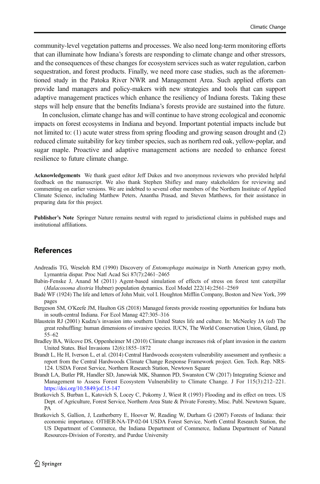<span id="page-11-0"></span>community-level vegetation patterns and processes. We also need long-term monitoring efforts that can illuminate how Indiana's forests are responding to climate change and other stressors, and the consequences of these changes for ecosystem services such as water regulation, carbon sequestration, and forest products. Finally, we need more case studies, such as the aforementioned study in the Patoka River NWR and Management Area. Such applied efforts can provide land managers and policy-makers with new strategies and tools that can support adaptive management practices which enhance the resiliency of Indiana forests. Taking these steps will help ensure that the benefits Indiana's forests provide are sustained into the future.

In conclusion, climate change has and will continue to have strong ecological and economic impacts on forest ecosystems in Indiana and beyond. Important potential impacts include but not limited to: (1) acute water stress from spring flooding and growing season drought and (2) reduced climate suitability for key timber species, such as northern red oak, yellow-poplar, and sugar maple. Proactive and adaptive management actions are needed to enhance forest resilience to future climate change.

Acknowledgements We thank guest editor Jeff Dukes and two anonymous reviewers who provided helpful feedback on the manuscript. We also thank Stephen Shifley and many stakeholders for reviewing and commenting on earlier versions. We are indebted to several other members of the Northern Institute of Applied Climate Science, including Matthew Peters, Anantha Prasad, and Steven Matthews, for their assistance in preparing data for this project.

Publisher's Note Springer Nature remains neutral with regard to jurisdictional claims in published maps and institutional affiliations.

### References

- Andreadis TG, Weseloh RM (1990) Discovery of *Entomophaga maimaiga* in North American gypsy moth, Lymantria dispar. Proc Natl Acad Sci 87(7):2461–2465
- Babin-Fenske J, Anand M (2011) Agent-based simulation of effects of stress on forest tent caterpillar (Malacosoma disstria Hubner) population dynamics. Ecol Model 222(14):2561–2569
- Badè WF (1924) The life and letters of John Muir, vol I. Houghton Mifflin Company, Boston and New York, 399 pages
- Bergeson SM, O'Keefe JM, Haulton GS (2018) Managed forests provide roosting opportunities for Indiana bats in south-central Indiana. For Ecol Manag 427:305–316
- Blaustein RJ (2001) Kudzu's invasion into southern United States life and culture. In: McNeeley JA (ed) The great reshuffling: human dimensions of invasive species. IUCN, The World Conservation Union, Gland, pp 55–62
- Bradley BA, Wilcove DS, Oppenheimer M (2010) Climate change increases risk of plant invasion in the eastern United States. Biol Invasions 12(6):1855–1872
- Brandt L, He H, Iverson L, et al. (2014) Central Hardwoods ecosystem vulnerability assessment and synthesis: a report from the Central Hardwoods Climate Change Response Framework project. Gen. Tech. Rep. NRS-124. USDA Forest Service, Northern Research Station, Newtown Square
- Brandt LA, Butler PR, Handler SD, Janowiak MK, Shannon PD, Swanston CW (2017) Integrating Science and Management to Assess Forest Ecosystem Vulnerability to Climate Change. J For 115(3):212–221. <https://doi.org/10.5849/jof.15-147>
- Bratkovich S, Burban L, Katovich S, Locey C, Pokorny J, Wiest R (1993) Flooding and its effect on trees. US Dept. of Agriculture, Forest Service, Northern Area State & Private Forestry, Misc. Publ. Newtown Square, PA
- Bratkovich S, Gallion, J, Leatherberry E, Hoover W, Reading W, Durham G (2007) Forests of Indiana: their economic importance. OTHER-NA-TP-02-04 USDA Forest Service, North Central Research Station, the US Department of Commerce, the Indiana Department of Commerce, Indiana Department of Natural Resources-Division of Forestry, and Purdue University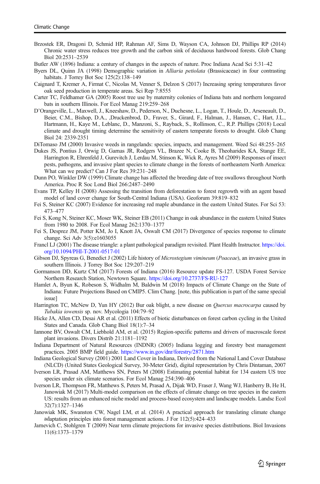- <span id="page-12-0"></span>Brzostek ER, Dragoni D, Schmid HP, Rahman AF, Sims D, Wayson CA, Johnson DJ, Phillips RP (2014) Chronic water stress reduces tree growth and the carbon sink of deciduous hardwood forests. Glob Chang Biol 20:2531–2539
- Butler AW (1896) Indiana: a century of changes in the aspects of nature. Proc Indiana Acad Sci 5:31–42
- Byers DL, Quinn JA (1998) Demographic variation in Alliaria petiolata (Brassicaceae) in four contrasting habitats. J Torrey Bot Soc 125(2):138-149
- Caignard T, Kremer A, Firmat C, Nicolas M, Venner S, Delzon S (2017) Increasing spring temperatures favor oak seed production in temperate areas. Sci Rep 7:8555
- Carter TC, Feldhamer GA (2005) Roost tree use by maternity colonies of Indiana bats and northern longeared bats in southern Illinois. For Ecol Manag 219:259–268
- D'Orangeville, L., Maxwell, J., Kneeshaw, D., Pederson, N., Duchesne, L., Logan, T., Houle, D., Arseneault, D., Beier, C.M., Bishop, D.A., ,Druckenbrod, D., Fraver, S., Girard, F., Halman, J., Hansen, C., Hart, J.L., Hartmann, H., Kaye M., Leblanc, D., Manzoni, S., Rayback, S., Rollinson, C., R.P. Phillips (2018) Local climate and drought timing determine the sensitivity of eastern temperate forests to drought. Glob Chang Biol 24: 2339-2351
- DiTomaso JM (2000) Invasive weeds in rangelands: species, impacts, and management. Weed Sci 48:255–265
- Dukes JS, Pontius J, Orwig D, Garnas JR, Rodgers VL, Brazee N, Cooke B, Theoharides KA, Stange EE, Harrington R, Ehrenfeld J, Gurevitch J, Lerdau M, Stinson K, Wick R, Ayres M (2009) Responses of insect pests, pathogens, and invasive plant species to climate change in the forests of northeastern North America: What can we predict? Can J For Res 39:231–248
- Dunn PO, Winkler DW (1999) Climate change has affected the breeding date of tree swallows throughout North America. Proc R Soc Lond Biol 266:2487–2490
- Evans TP, Kelley H (2008) Assessing the transition from deforestation to forest regrowth with an agent based model of land cover change for South-Central Indiana (USA). Geoforum 39:819–832
- Fei S, Steiner KC (2007) Evidence for increasing red maple abundance in the eastern United States. For Sci 53: 473–477
- Fei S, Kong N, Steiner KC, Moser WK, Steiner EB (2011) Change in oak abundance in the eastern United States from 1980 to 2008. For Ecol Manag 262:1370–1377
- Fei S, Desprez JM, Potter KM, Jo I, Knott JA, Oswalt CM (2017) Divergence of species response to climate change. Sci Adv 3(5):e1603055
- Francl LJ (2001) The disease triangle: a plant pathological paradigm revisited. Plant Health Instructor. [https://doi.](https://doi.org/10.1094/PHI-T-2001-0517-01) [org/10.1094/PHI-T-2001-0517-01](https://doi.org/10.1094/PHI-T-2001-0517-01)
- Gibson DJ, Spyreas G, Benedict J (2002) Life history of Microstegium vimineum (Poaceae), an invasive grass in southern Illinois. J Torrey Bot Soc 129:207–219
- Gormanson DD, Kurtz CM (2017) Forests of Indiana (2016) Resource update FS-127. USDA Forest Service Northern Research Station, Newtown Square. <https://doi.org/10.2737/FS-RU-127>
- Hamlet A, Byun K, Robeson S, Widhalm M, Baldwin M (2018) Impacts of Climate Change on the State of Indiana: Future Projections Based on CMIP5. Clim Chang. [note, this publication is part of the same special issue]
- Harrington TC, McNew D, Yun HY (2012) Bur oak blight, a new disease on Quercus macrocarpa caused by Tubakia iowensis sp. nov. Mycologia 104:79–92
- Hicke JA, Allen CD, Desai AR et al. (2011) Effects of biotic disturbances on forest carbon cycling in the United States and Canada. Glob Chang Biol 18(1):7–34
- Iannone BV, Oswalt CM, Liebhold AM, et al. (2015) Region-specific patterns and drivers of macroscale forest plant invasions. Divers Distrib 21:1181–1192
- Indiana Department of Natural Resources (INDNR) (2005) Indiana logging and forestry best management practices. 2005 BMP field guide. <https://www.in.gov/dnr/forestry/2871.htm>
- Indiana Geological Survey (2001) 2001 Land Cover in Indiana, Derived from the National Land Cover Database (NLCD) (United States Geological Survey, 30-Meter Grid), digital representation by Chris Dintaman, 2007
- Iverson LR, Prasad AM, Matthews SN, Peters M (2008) Estimating potential habitat for 134 eastern US tree species under six climate scenarios. For Ecol Manag 254:390–406
- Iverson LR, Thompson FR, Matthews S, Peters M, Prasad A, Dijak WD, Fraser J, Wang WJ, Hanberry B, He H, Janowiak M (2017) Multi-model comparison on the effects of climate change on tree species in the eastern US: results from an enhanced niche model and process-based ecosystem and landscape models. Landsc Ecol 32(7):1327–1346
- Janowiak MK, Swanston CW, Nagel LM, et al. (2014) A practical approach for translating climate change adaptation principles into forest management actions. J For 112(5):424–433
- Jarnevich C, Stohlgren T (2009) Near term climate projections for invasive species distributions. Biol Invasions 11(6):1373–1379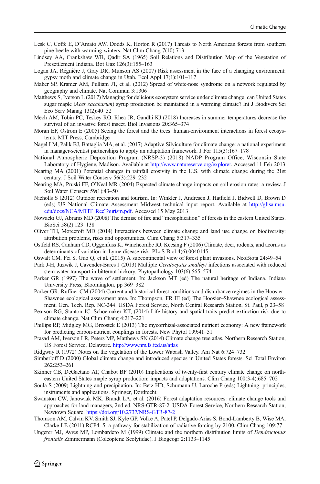- <span id="page-13-0"></span>Lesk C, Coffe E, D'Amato AW, Dodds K, Horton R (2017) Threats to North American forests from southern pine beetle with warming winters. Nat Clim Chang 7(10):713
- Lindsey AA, Crankshaw WB, Qadir SA (1965) Soil Relations and Distribution Map of the Vegetation of Presettlement Indiana. Bot Gaz 126(3):155–163
- Logan JA, Régnière J, Gray DR, Munson AS (2007) Risk assessment in the face of a changing environment: gypsy moth and climate change in Utah. Ecol Appl 17(1):101–117
- Maher SP, Kramer AM, Pulliam JT, et al. (2012) Spread of white-nose syndrome on a network regulated by geography and climate. Nat Commun 3:1306
- Matthews S, Iverson L (2017) Managing for delicious ecosystem service under climate change: can United States sugar maple (Acer saccharum) syrup production be maintained in a warming climate? Int J Biodivers Sci Eco Serv Manag 13(2):40–52
- Mech AM, Tobin PC, Teskey RO, Rhea JR, Gandhi KJ (2018) Increases in summer temperatures decrease the survival of an invasive forest insect. Biol Invasions 20:365–374
- Moran EF, Ostrom E (2005) Seeing the forest and the trees: human-environment interactions in forest ecosystems. MIT Press, Cambridge
- Nagel LM, Palik BJ, Battaglia MA, et al. (2017) Adaptive Silviculture for climate change: a national experiment in manager-scientist partnerships to apply an adaptation framework. J For 115(3):167–178
- National Atmospheric Deposition Program (NRSP-3) (2018) NADP Program Office, Wisconsin State Laboratory of Hygiene, Madison. Available at [http://www.natureserve.org/explorer.](http://www.natureserve.org/explorer) Accessed 11 Feb 2013
- Nearing MA (2001) Potential changes in rainfall erosivity in the U.S. with climate change during the 21st century. J Soil Water Conserv 56(3):229–232
- Nearing MA, Pruski FF, O'Neal MR (2004) Expected climate change impacts on soil erosion rates: a review. J Soil Water Conserv 59(1):43–50
- Nicholls S (2012) Outdoor recreation and tourism. In: Winkler J, Andresen J, Hatfield J, Bidwell D, Brown D (eds) US National Climate Assessment Midwest technical input report. Available at [http://glisa.msu.](http://glisa.msu.edu/docs/NCA/MTIT_RecTourism.pdf) [edu/docs/NCA/MTIT\\_RecTourism.pdf.](http://glisa.msu.edu/docs/NCA/MTIT_RecTourism.pdf) Accessed 15 May 2013
- Nowacki GJ, Abrams MD (2008) The demise of fire and "mesophication" of forests in the eastern United States. BioSci 58(2):123–138
- Oliver TH, Morecroft MD (2014) Interactions between climate change and land use change on biodiversity: attribution problems, risks and opportunities. Clim Chang 5:317–335
- Ostfeld RS, Canham CD, Oggenfuss K, Winchcombe RJ, Keesing F (2006) Climate, deer, rodents, and acorns as determinants of variation in Lyme-disease risk. PLoS Biol 4(6):0040145
- Oswalt CM, Fei S, Guo Q, et al. (2015) A subcontinental view of forest plant invasions. NeoBiota 24:49–54
- Park J-H, Juzwik J, Cavender-Bares J (2013) Multiple Ceratocystis smalleyi infections associated with reduced stem water transport in bitternut hickory. Phytopathology 103(6):565–574
- Parker GR (1997) The wave of settlement. In: Jackson MT (ed) The natural heritage of Indiana. Indiana University Press, Bloomington, pp 369–382
- Parker GR, Ruffner CM (2004) Current and historical forest conditions and disturbance regimes in the Hoosier– Shawnee ecological assessment area. In: Thompson, FR III (ed) The Hoosier–Shawnee ecological assessment. Gen. Tech. Rep. NC-244. USDA Forest Service, North Central Research Station, St. Paul, p 23–58
- Pearson RG, Stanton JC, Schoemaker KT, (2014) Life history and spatial traits predict extinction risk due to climate change. Nat Clim Chang 4:217–221
- Phillips RP, Midgley MG, Brzostek E (2013) The mycorrhizal-associated nutrient economy: A new framework for predicting carbon-nutrient couplings in forests. New Phytol 199:41–51
- Prasad AM, Iverson LR, Peters MP, Matthews SN (2014) Climate change tree atlas. Northern Research Station, US Forest Service, Delaware. <http://www.nrs.fs.fed.us/atlas>
- Ridgway R (1972) Notes on the vegetation of the Lower Wabash Valley. Am Nat 6:724–732
- Simberloff D (2000) Global climate change and introduced species in United States forests. Sci Total Environ 262:253–261
- Skinner CB, DeGaetano AT, Chabot BF (2010) Implications of twenty-first century climate change on northeastern United States maple syrup production: impacts and adaptations. Clim Chang 100(3-4):685–702
- Soula S (2009) Lightning and precipitation. In: Betz HD, Schumann U, Laroche P (eds) Lightning: principles, instruments and applications. Springer, Dordrecht
- Swanston CW, Janowiak MK, Brandt LA, et al. (2016) Forest adaptation resources: climate change tools and approaches for land managers, 2nd ed. NRS-GTR-87-2. USDA Forest Service, Northern Research Station, Newtown Square. <https://doi.org/10.2737/NRS-GTR-87-2>
- Thomson AM, Calvin KV, Smith SJ, Kyle GP, Volke A, Patel P, Delgado-Arias S, Bond-Lamberty B, Wise MA, Clarke LE (2011) RCP4. 5: a pathway for stabilization of radiative forcing by 2100. Clim Chang 109:77
- Ungerer MJ, Ayres MP, Lombardero M (1999) Climate and the northern distribution limits of Dendroctonus frontalis Zimmermann (Coleoptera: Scolytidae). J Biogeogr 2:1133–1145